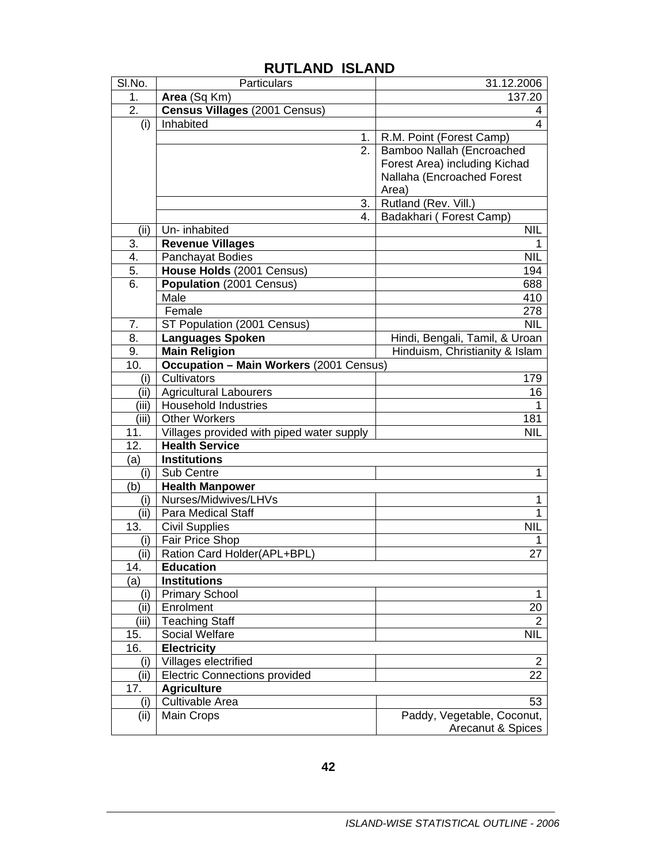| SI.No. | Particulars                                    | 31.12.2006                     |
|--------|------------------------------------------------|--------------------------------|
| 1.     | Area (Sq Km)                                   | 137.20                         |
| 2.     | Census Villages (2001 Census)                  | 4                              |
| (i)    | Inhabited                                      | $\overline{4}$                 |
|        | 1.                                             | R.M. Point (Forest Camp)       |
|        | 2.                                             | Bamboo Nallah (Encroached      |
|        |                                                | Forest Area) including Kichad  |
|        |                                                | Nallaha (Encroached Forest     |
|        |                                                | Area)                          |
|        | 3.                                             | Rutland (Rev. Vill.)           |
|        | 4.                                             | Badakhari (Forest Camp)        |
| (iii)  | Un-inhabited                                   | <b>NIL</b>                     |
| 3.     | <b>Revenue Villages</b>                        | 1                              |
| 4.     | Panchayat Bodies                               | <b>NIL</b>                     |
| 5.     | House Holds (2001 Census)                      | 194                            |
| 6.     | Population (2001 Census)                       | 688                            |
|        | Male                                           | 410                            |
|        | Female                                         | 278                            |
| 7.     | ST Population (2001 Census)                    | <b>NIL</b>                     |
| 8.     | <b>Languages Spoken</b>                        | Hindi, Bengali, Tamil, & Uroan |
| 9.     | <b>Main Religion</b>                           | Hinduism, Christianity & Islam |
| 10.    | <b>Occupation - Main Workers (2001 Census)</b> |                                |
| (i)    | Cultivators                                    | 179                            |
| (ii)   | <b>Agricultural Labourers</b>                  | 16                             |
| (iii)  | <b>Household Industries</b>                    | 1                              |
| (iii)  | <b>Other Workers</b>                           | 181                            |
| 11.    | Villages provided with piped water supply      | <b>NIL</b>                     |
| 12.    | <b>Health Service</b>                          |                                |
| (a)    | <b>Institutions</b>                            |                                |
| (i)    | Sub Centre                                     | 1                              |
| (b)    | <b>Health Manpower</b>                         |                                |
| (i)    | Nurses/Midwives/LHVs                           | 1                              |
| (ii)   | Para Medical Staff                             | 1                              |
| 13.    | <b>Civil Supplies</b>                          | <b>NIL</b>                     |
| (i)    | Fair Price Shop                                | 1                              |
| (ii)   | Ration Card Holder(APL+BPL)                    | 27                             |
| 14.    | <b>Education</b>                               |                                |
| (a)    | <b>Institutions</b>                            |                                |
| (i)    | <b>Primary School</b>                          | 1                              |
| (ii)   | Enrolment                                      | 20                             |
| (iii)  | <b>Teaching Staff</b>                          | 2                              |
| 15.    | <b>Social Welfare</b>                          | <b>NIL</b>                     |
| 16.    | <b>Electricity</b>                             |                                |
| (i)    | Villages electrified                           | $\overline{2}$                 |
| (ii)   | <b>Electric Connections provided</b>           | 22                             |
| 17.    | <b>Agriculture</b>                             |                                |
| (i)    | Cultivable Area                                | 53                             |
| (ii)   | Main Crops                                     | Paddy, Vegetable, Coconut,     |
|        |                                                | Arecanut & Spices              |

## **RUTLAND ISLAND**